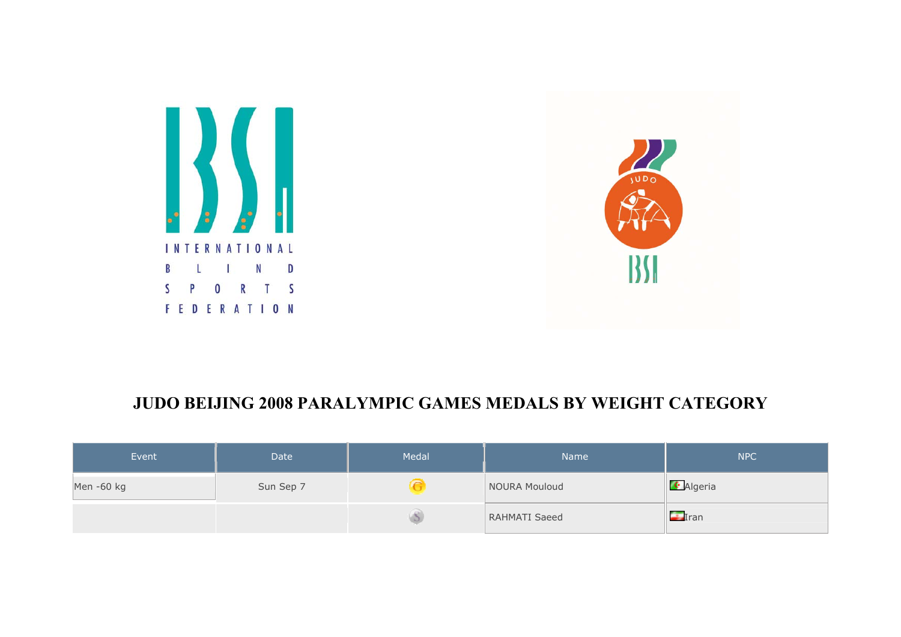



## **JUDO BEIJING 2008 PARALYMPIC GAMES MEDALS BY WEIGHT CATEGORY**

| Event      | <b>Date</b> | Medal | Name <sup>1</sup>    | <b>NPC</b>          |
|------------|-------------|-------|----------------------|---------------------|
| Men -60 kg | Sun Sep 7   |       | NOURA Mouloud        | <b>C</b> Algeria    |
|            |             |       | <b>RAHMATI Saeed</b> | $\blacksquare$ Iran |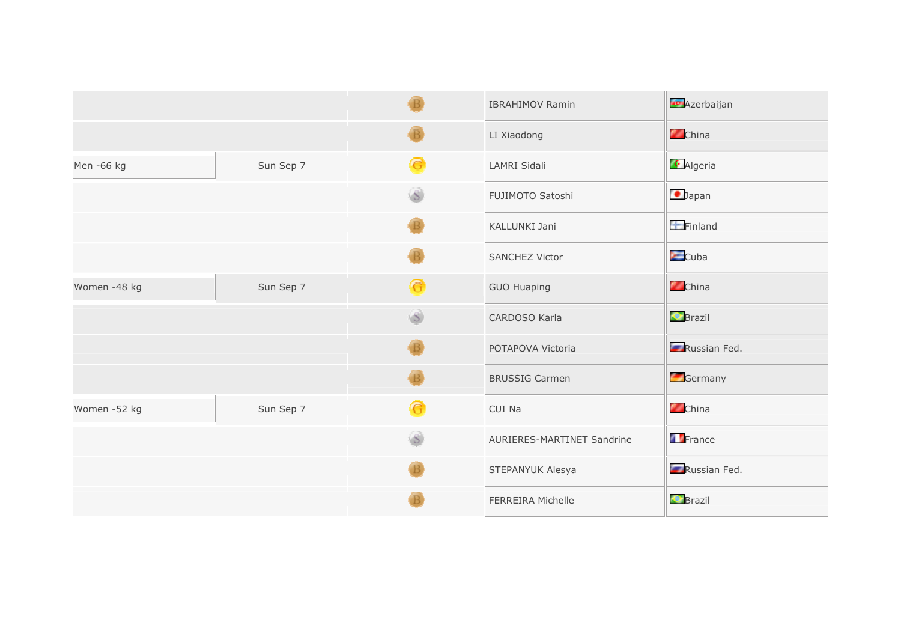|              |           |                         | <b>IBRAHIMOV Ramin</b>     | <b>Azerbaijan</b> |
|--------------|-----------|-------------------------|----------------------------|-------------------|
|              |           |                         | LI Xiaodong                | <b>China</b>      |
| Men -66 kg   | Sun Sep 7 | G                       | LAMRI Sidali               | <b>C</b> Algeria  |
|              |           | $\overline{\mathbf{S}}$ | FUJIMOTO Satoshi           | $\bigcirc$ Japan  |
|              |           |                         | KALLUNKI Jani              | $F$ Finland       |
|              |           |                         | <b>SANCHEZ Victor</b>      | $\epsilon$ Cuba   |
| Women -48 kg | Sun Sep 7 | $\bullet$               | <b>GUO Huaping</b>         | <b>China</b>      |
|              |           | $\mathcal{S}$           | CARDOSO Karla              | <b>C</b> Brazil   |
|              |           |                         | POTAPOVA Victoria          | Russian Fed.      |
|              |           |                         | <b>BRUSSIG Carmen</b>      | Germany           |
| Women -52 kg | Sun Sep 7 | G                       | CUI Na                     | <b>China</b>      |
|              |           | S                       | AURIERES-MARTINET Sandrine | France            |
|              |           |                         | STEPANYUK Alesya           | Russian Fed.      |
|              |           |                         | <b>FERREIRA Michelle</b>   | <b>C</b> Brazil   |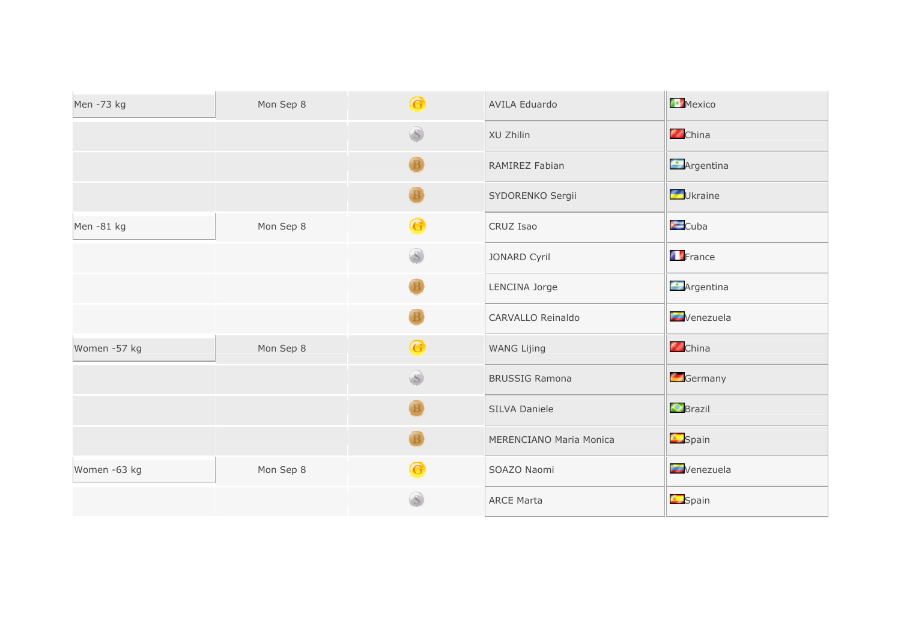| Men -73 kg   | Mon Sep 8 | $\bullet$    | <b>AVILA Eduardo</b>    | Mexico                   |
|--------------|-----------|--------------|-------------------------|--------------------------|
|              |           |              | XU Zhilin               | China                    |
|              |           |              | RAMIREZ Fabian          | $\blacksquare$ Argentina |
|              |           |              | SYDORENKO Sergii        | Ukraine                  |
| Men-81 kg    | Mon Sep 8 | G            | CRUZ Isao               | $\blacksquare$ Cuba      |
|              |           |              | JONARD Cyril            | France                   |
|              |           |              | LENCINA Jorge           | <b>Argentina</b>         |
|              |           |              | CARVALLO Reinaldo       | Venezuela                |
| Women -57 kg | Mon Sep 8 | ِ            | <b>WANG Lijing</b>      | China                    |
|              |           | $\mathbf{s}$ | <b>BRUSSIG Ramona</b>   | Germany                  |
|              |           |              | SILVA Daniele           | <b>C</b> Brazil          |
|              |           |              | MERENCIANO Maria Monica | <b>Spain</b>             |
| Women -63 kg | Mon Sep 8 | G            | SOAZO Naomi             | Venezuela                |
|              |           |              | <b>ARCE Marta</b>       | <b>Spain</b>             |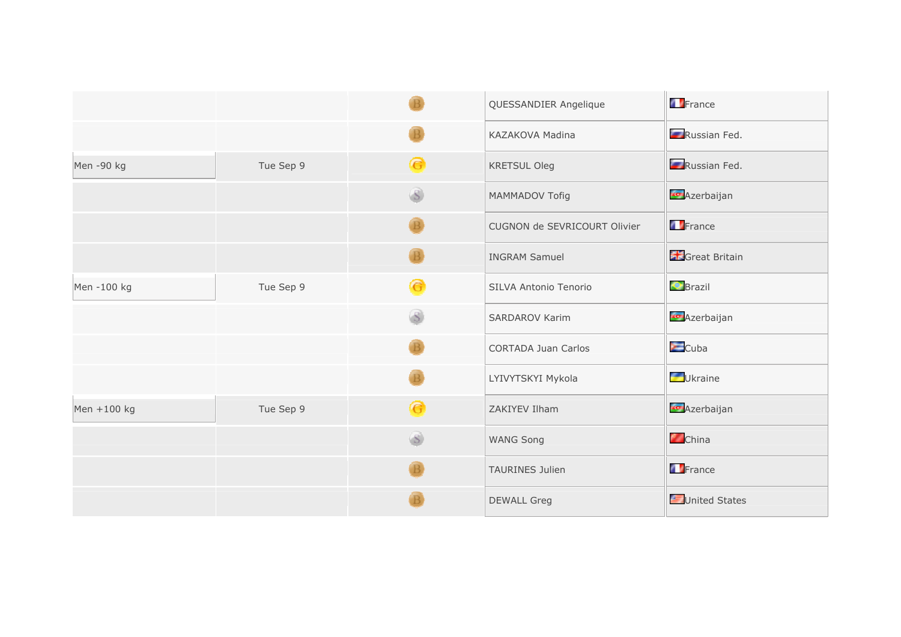|             |           |                | QUESSANDIER Angelique        | <b>T</b> France     |
|-------------|-----------|----------------|------------------------------|---------------------|
|             |           |                | KAZAKOVA Madina              | Russian Fed.        |
| Men -90 kg  | Tue Sep 9 | <mark>@</mark> | <b>KRETSUL Oleg</b>          | Russian Fed.        |
|             |           | (S)            | MAMMADOV Tofig               | <b>C</b> Azerbaijan |
|             |           |                | CUGNON de SEVRICOURT Olivier | France              |
|             |           |                | <b>INGRAM Samuel</b>         | Great Britain       |
| Men-100 kg  | Tue Sep 9 | G              | SILVA Antonio Tenorio        | <b>C</b> Brazil     |
|             |           |                | SARDAROV Karim               | <b>Azerbaijan</b>   |
|             |           |                | <b>CORTADA Juan Carlos</b>   | $\sum$ Cuba         |
|             |           |                | LYIVYTSKYI Mykola            | Ukraine             |
| Men +100 kg | Tue Sep 9 | ِ⊖             | ZAKIYEV Ilham                | <b>Azerbaijan</b>   |
|             |           | $\mathbf{S}$   | <b>WANG Song</b>             | China               |
|             |           |                | <b>TAURINES Julien</b>       | France              |
|             |           |                | <b>DEWALL Greg</b>           | United States       |